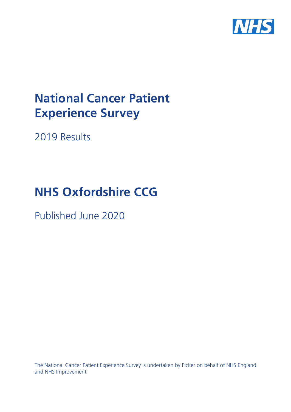

# **National Cancer Patient Experience Survey**

2019 Results

# **NHS Oxfordshire CCG**

Published June 2020

The National Cancer Patient Experience Survey is undertaken by Picker on behalf of NHS England and NHS Improvement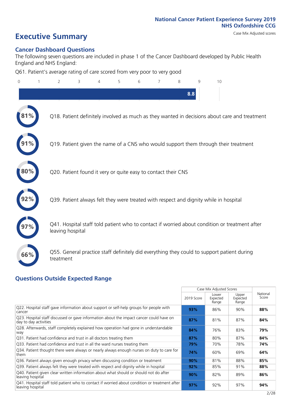# **Executive Summary** Case Mix Adjusted scores

### **Cancer Dashboard Questions**

The following seven questions are included in phase 1 of the Cancer Dashboard developed by Public Health England and NHS England:

Q61. Patient's average rating of care scored from very poor to very good

| $\overline{0}$ | 2                                                             | 3 | 5 | 6 | 8   | q | 10                                                                                            |
|----------------|---------------------------------------------------------------|---|---|---|-----|---|-----------------------------------------------------------------------------------------------|
|                |                                                               |   |   |   | 8.8 |   |                                                                                               |
|                |                                                               |   |   |   |     |   | Q18. Patient definitely involved as much as they wanted in decisions about care and treatment |
|                |                                                               |   |   |   |     |   | Q19. Patient given the name of a CNS who would support them through their treatment           |
| 80%            | Q20. Patient found it very or quite easy to contact their CNS |   |   |   |     |   |                                                                                               |
|                |                                                               |   |   |   |     |   | Q39. Patient always felt they were treated with respect and dignity while in hospital         |
|                | leaving hospital                                              |   |   |   |     |   | Q41. Hospital staff told patient who to contact if worried about condition or treatment after |
| 66%            | treatment                                                     |   |   |   |     |   | Q55. General practice staff definitely did everything they could to support patient during    |
|                |                                                               |   |   |   |     |   |                                                                                               |

### **Questions Outside Expected Range**

| Upper<br>Lower<br>Score<br>2019 Score<br>Expected<br>Expected<br>Range<br>Range<br>Q22. Hospital staff gave information about support or self-help groups for people with<br>93%<br>86%<br>88%<br>90%<br>cancer<br>Q23. Hospital staff discussed or gave information about the impact cancer could have on<br>87%<br>81%<br>84%<br>87%<br>day to day activities<br>Q28. Afterwards, staff completely explained how operation had gone in understandable<br>83%<br>84%<br>76%<br>79%<br>way<br>Q31. Patient had confidence and trust in all doctors treating them<br>84%<br>80%<br>87%<br>87%<br>Q33. Patient had confidence and trust in all the ward nurses treating them<br>74%<br>79%<br>70%<br>78%<br>Q34. Patient thought there were always or nearly always enough nurses on duty to care for<br>64%<br>74%<br>60%<br>69%<br>them<br>Q36. Patient always given enough privacy when discussing condition or treatment<br>85%<br>81%<br>88%<br>90%<br>Q39. Patient always felt they were treated with respect and dignity while in hospital<br>88%<br>92%<br>85%<br>91%<br>Q40. Patient given clear written information about what should or should not do after<br>82%<br>86%<br>90%<br>89%<br>leaving hospital<br>Q41. Hospital staff told patient who to contact if worried about condition or treatment after<br>97%<br>92%<br>97%<br>94%<br>leaving hospital |  | Case Mix Adjusted Scores |          |
|-----------------------------------------------------------------------------------------------------------------------------------------------------------------------------------------------------------------------------------------------------------------------------------------------------------------------------------------------------------------------------------------------------------------------------------------------------------------------------------------------------------------------------------------------------------------------------------------------------------------------------------------------------------------------------------------------------------------------------------------------------------------------------------------------------------------------------------------------------------------------------------------------------------------------------------------------------------------------------------------------------------------------------------------------------------------------------------------------------------------------------------------------------------------------------------------------------------------------------------------------------------------------------------------------------------------------------------------------------------------------|--|--------------------------|----------|
|                                                                                                                                                                                                                                                                                                                                                                                                                                                                                                                                                                                                                                                                                                                                                                                                                                                                                                                                                                                                                                                                                                                                                                                                                                                                                                                                                                       |  |                          | National |
|                                                                                                                                                                                                                                                                                                                                                                                                                                                                                                                                                                                                                                                                                                                                                                                                                                                                                                                                                                                                                                                                                                                                                                                                                                                                                                                                                                       |  |                          |          |
|                                                                                                                                                                                                                                                                                                                                                                                                                                                                                                                                                                                                                                                                                                                                                                                                                                                                                                                                                                                                                                                                                                                                                                                                                                                                                                                                                                       |  |                          |          |
|                                                                                                                                                                                                                                                                                                                                                                                                                                                                                                                                                                                                                                                                                                                                                                                                                                                                                                                                                                                                                                                                                                                                                                                                                                                                                                                                                                       |  |                          |          |
|                                                                                                                                                                                                                                                                                                                                                                                                                                                                                                                                                                                                                                                                                                                                                                                                                                                                                                                                                                                                                                                                                                                                                                                                                                                                                                                                                                       |  |                          |          |
|                                                                                                                                                                                                                                                                                                                                                                                                                                                                                                                                                                                                                                                                                                                                                                                                                                                                                                                                                                                                                                                                                                                                                                                                                                                                                                                                                                       |  |                          |          |
|                                                                                                                                                                                                                                                                                                                                                                                                                                                                                                                                                                                                                                                                                                                                                                                                                                                                                                                                                                                                                                                                                                                                                                                                                                                                                                                                                                       |  |                          |          |
|                                                                                                                                                                                                                                                                                                                                                                                                                                                                                                                                                                                                                                                                                                                                                                                                                                                                                                                                                                                                                                                                                                                                                                                                                                                                                                                                                                       |  |                          |          |
|                                                                                                                                                                                                                                                                                                                                                                                                                                                                                                                                                                                                                                                                                                                                                                                                                                                                                                                                                                                                                                                                                                                                                                                                                                                                                                                                                                       |  |                          |          |
|                                                                                                                                                                                                                                                                                                                                                                                                                                                                                                                                                                                                                                                                                                                                                                                                                                                                                                                                                                                                                                                                                                                                                                                                                                                                                                                                                                       |  |                          |          |
|                                                                                                                                                                                                                                                                                                                                                                                                                                                                                                                                                                                                                                                                                                                                                                                                                                                                                                                                                                                                                                                                                                                                                                                                                                                                                                                                                                       |  |                          |          |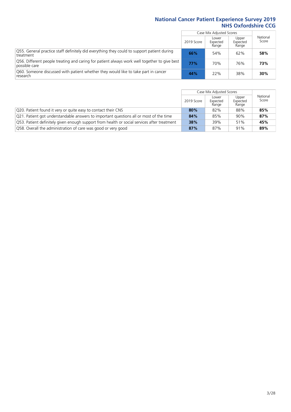|                                                                                                               |            | Case Mix Adjusted Scores   |                            |                   |
|---------------------------------------------------------------------------------------------------------------|------------|----------------------------|----------------------------|-------------------|
|                                                                                                               | 2019 Score | Lower<br>Expected<br>Range | Upper<br>Expected<br>Range | National<br>Score |
| Q55. General practice staff definitely did everything they could to support patient during<br>treatment       | 66%        | 54%                        | 62%                        | 58%               |
| Q56. Different people treating and caring for patient always work well together to give best<br>possible care | 77%        | 70%                        | 76%                        | 73%               |
| Q60. Someone discussed with patient whether they would like to take part in cancer<br>research                | 44%        | 22%                        | 38%                        | 30%               |

|                                                                                             |            | Case Mix Adjusted Scores   |                            |                   |
|---------------------------------------------------------------------------------------------|------------|----------------------------|----------------------------|-------------------|
|                                                                                             | 2019 Score | Lower<br>Expected<br>Range | Upper<br>Expected<br>Range | National<br>Score |
| Q20. Patient found it very or quite easy to contact their CNS                               | 80%        | 82%                        | 88%                        | 85%               |
| Q21. Patient got understandable answers to important questions all or most of the time      | 84%        | 85%                        | 90%                        | 87%               |
| Q53. Patient definitely given enough support from health or social services after treatment | 38%        | 39%                        | 51%                        | 45%               |
| Q58. Overall the administration of care was good or very good                               | 87%        | 87%                        | 91%                        | 89%               |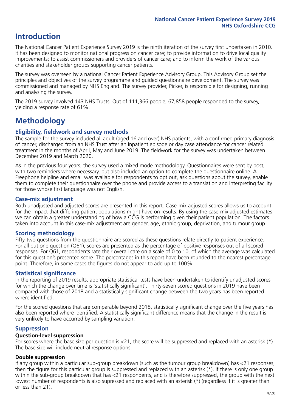### **Introduction**

The National Cancer Patient Experience Survey 2019 is the ninth iteration of the survey first undertaken in 2010. It has been designed to monitor national progress on cancer care; to provide information to drive local quality improvements; to assist commissioners and providers of cancer care; and to inform the work of the various charities and stakeholder groups supporting cancer patients.

The survey was overseen by a national Cancer Patient Experience Advisory Group. This Advisory Group set the principles and objectives of the survey programme and guided questionnaire development. The survey was commissioned and managed by NHS England. The survey provider, Picker, is responsible for designing, running and analysing the survey.

The 2019 survey involved 143 NHS Trusts. Out of 111,366 people, 67,858 people responded to the survey, yielding a response rate of 61%.

### **Methodology**

### **Eligibility, eldwork and survey methods**

The sample for the survey included all adult (aged 16 and over) NHS patients, with a confirmed primary diagnosis of cancer, discharged from an NHS Trust after an inpatient episode or day case attendance for cancer related treatment in the months of April, May and June 2019. The fieldwork for the survey was undertaken between December 2019 and March 2020.

As in the previous four years, the survey used a mixed mode methodology. Questionnaires were sent by post, with two reminders where necessary, but also included an option to complete the questionnaire online. A Freephone helpline and email was available for respondents to opt out, ask questions about the survey, enable them to complete their questionnaire over the phone and provide access to a translation and interpreting facility for those whose first language was not English.

### **Case-mix adjustment**

Both unadjusted and adjusted scores are presented in this report. Case-mix adjusted scores allows us to account for the impact that differing patient populations might have on results. By using the case-mix adjusted estimates we can obtain a greater understanding of how a CCG is performing given their patient population. The factors taken into account in this case-mix adjustment are gender, age, ethnic group, deprivation, and tumour group.

### **Scoring methodology**

Fifty-two questions from the questionnaire are scored as these questions relate directly to patient experience. For all but one question (Q61), scores are presented as the percentage of positive responses out of all scored responses. For Q61, respondents rate their overall care on a scale of 0 to 10, of which the average was calculated for this question's presented score. The percentages in this report have been rounded to the nearest percentage point. Therefore, in some cases the figures do not appear to add up to 100%.

### **Statistical significance**

In the reporting of 2019 results, appropriate statistical tests have been undertaken to identify unadjusted scores for which the change over time is 'statistically significant'. Thirty-seven scored questions in 2019 have been compared with those of 2018 and a statistically significant change between the two years has been reported where identified.

For the scored questions that are comparable beyond 2018, statistically significant change over the five years has also been reported where identified. A statistically significant difference means that the change in the result is very unlikely to have occurred by sampling variation.

### **Suppression**

#### **Question-level suppression**

For scores where the base size per question is  $<$ 21, the score will be suppressed and replaced with an asterisk (\*). The base size will include neutral response options.

### **Double suppression**

If any group within a particular sub-group breakdown (such as the tumour group breakdown) has <21 responses, then the figure for this particular group is suppressed and replaced with an asterisk (\*). If there is only one group within the sub-group breakdown that has <21 respondents, and is therefore suppressed, the group with the next lowest number of respondents is also supressed and replaced with an asterisk (\*) (regardless if it is greater than or less than 21).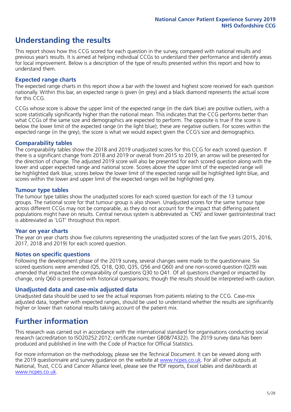### **Understanding the results**

This report shows how this CCG scored for each question in the survey, compared with national results and previous year's results. It is aimed at helping individual CCGs to understand their performance and identify areas for local improvement. Below is a description of the type of results presented within this report and how to understand them.

### **Expected range charts**

The expected range charts in this report show a bar with the lowest and highest score received for each question nationally. Within this bar, an expected range is given (in grey) and a black diamond represents the actual score for this CCG.

CCGs whose score is above the upper limit of the expected range (in the dark blue) are positive outliers, with a score statistically significantly higher than the national mean. This indicates that the CCG performs better than what CCGs of the same size and demographics are expected to perform. The opposite is true if the score is below the lower limit of the expected range (in the light blue); these are negative outliers. For scores within the expected range (in the grey), the score is what we would expect given the CCG's size and demographics.

### **Comparability tables**

The comparability tables show the 2018 and 2019 unadjusted scores for this CCG for each scored question. If there is a significant change from 2018 and 2019 or overall from 2015 to 2019, an arrow will be presented for the direction of change. The adjusted 2019 score will also be presented for each scored question along with the lower and upper expected range and national score. Scores above the upper limit of the expected range will be highlighted dark blue, scores below the lower limit of the expected range will be highlighted light blue, and scores within the lower and upper limit of the expected ranges will be highlighted grey.

### **Tumour type tables**

The tumour type tables show the unadjusted scores for each scored question for each of the 13 tumour groups. The national score for that tumour group is also shown. Unadjusted scores for the same tumour type across different CCGs may not be comparable, as they do not account for the impact that differing patient populations might have on results. Central nervous system is abbreviated as 'CNS' and lower gastrointestinal tract is abbreviated as 'LGT' throughout this report.

### **Year on year charts**

The year on year charts show five columns representing the unadjusted scores of the last five years (2015, 2016, 2017, 2018 and 2019) for each scored question.

#### **Notes on specific questions**

Following the development phase of the 2019 survey, several changes were made to the questionnaire. Six scored questions were amended (Q5, Q18, Q30, Q35, Q56 and Q60) and one non-scored question (Q29) was amended that impacted the comparability of questions Q30 to Q41. Of all questions changed or impacted by change, only Q60 is presented with historical comparisons; though the results should be interpreted with caution.

### **Unadjusted data and case-mix adjusted data**

Unadjusted data should be used to see the actual responses from patients relating to the CCG. Case-mix adjusted data, together with expected ranges, should be used to understand whether the results are significantly higher or lower than national results taking account of the patient mix.

### **Further information**

This research was carried out in accordance with the international standard for organisations conducting social research (accreditation to ISO20252:2012; certificate number GB08/74322). The 2019 survey data has been produced and published in line with the Code of Practice for Official Statistics.

For more information on the methodology, please see the Technical Document. It can be viewed along with the 2019 questionnaire and survey quidance on the website at [www.ncpes.co.uk](https://www.ncpes.co.uk/supporting-documents). For all other outputs at National, Trust, CCG and Cancer Alliance level, please see the PDF reports, Excel tables and dashboards at [www.ncpes.co.uk.](https://www.ncpes.co.uk/current-results)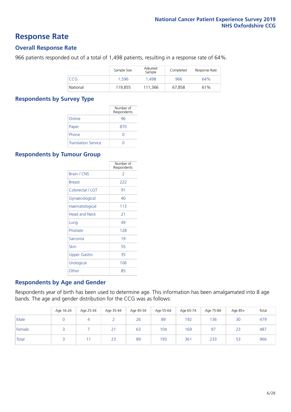### **Response Rate**

### **Overall Response Rate**

966 patients responded out of a total of 1,498 patients, resulting in a response rate of 64%.

|          | Sample Size | Adjusted<br>Sample | Completed | Response Rate |
|----------|-------------|--------------------|-----------|---------------|
| CCG      | 1.596       | 1.498              | 966       | 64%           |
| National | 119,855     | 111.366            | 67.858    | 61%           |

### **Respondents by Survey Type**

|                            | Number of<br>Respondents |
|----------------------------|--------------------------|
| Online                     | 96                       |
| Paper                      | 870                      |
| Phone                      | $\left( \right)$         |
| <b>Translation Service</b> |                          |

### **Respondents by Tumour Group**

|                      | Number of<br>Respondents |
|----------------------|--------------------------|
| <b>Brain / CNS</b>   | $\mathcal{P}$            |
| <b>Breast</b>        | 222                      |
| Colorectal / LGT     | 91                       |
| Gynaecological       | 40                       |
| Haematological       | 113                      |
| <b>Head and Neck</b> | 21                       |
| Lung                 | 49                       |
| Prostate             | 128                      |
| Sarcoma              | 19                       |
| Skin                 | 55                       |
| Upper Gastro         | 35                       |
| Urological           | 106                      |
| Other                | 85                       |

### **Respondents by Age and Gender**

Respondents year of birth has been used to determine age. This information has been amalgamated into 8 age bands. The age and gender distribution for the CCG was as follows:

|        | Age 16-24 | Age 25-34 | Age 35-44 | Age 45-54 | Age 55-64 | Age 65-74 | Age 75-84 | Age 85+ | Total |
|--------|-----------|-----------|-----------|-----------|-----------|-----------|-----------|---------|-------|
| Male   |           |           |           | 26        | 89        | 192       | 136       | 30      | 479   |
| Female |           |           | 21        | 63        | 104       | 169       | 97        | 23      | 487   |
| Total  |           |           | 23        | 89        | 193       | 361       | 233       | 53      | 966   |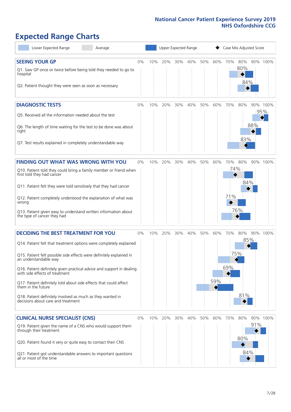# **Expected Range Charts**

| Lower Expected Range<br>Average                                                                                                                                                                                                                                                |    |     | Upper Expected Range |     |     |     | Case Mix Adjusted Score |            |                   |     |                 |  |  |
|--------------------------------------------------------------------------------------------------------------------------------------------------------------------------------------------------------------------------------------------------------------------------------|----|-----|----------------------|-----|-----|-----|-------------------------|------------|-------------------|-----|-----------------|--|--|
| <b>SEEING YOUR GP</b><br>Q1. Saw GP once or twice before being told they needed to go to<br>hospital<br>Q2. Patient thought they were seen as soon as necessary                                                                                                                | 0% | 10% | 20%                  | 30% | 40% | 50% | 60%                     | 70%        | 80%<br>80%<br>84% |     | 90% 100%        |  |  |
| <b>DIAGNOSTIC TESTS</b><br>Q5. Received all the information needed about the test                                                                                                                                                                                              | 0% | 10% | 20%                  | 30% | 40% | 50% | 60%                     | 70%        | 80%               |     | 90% 100%<br>95% |  |  |
| Q6. The length of time waiting for the test to be done was about<br>right<br>Q7. Test results explained in completely understandable way                                                                                                                                       |    |     |                      |     |     |     |                         |            | 83%               | 88% |                 |  |  |
|                                                                                                                                                                                                                                                                                |    |     |                      |     |     |     |                         |            |                   |     |                 |  |  |
| <b>FINDING OUT WHAT WAS WRONG WITH YOU</b><br>Q10. Patient told they could bring a family member or friend when<br>first told they had cancer                                                                                                                                  | 0% | 10% | 20%                  | 30% | 40% | 50% | 60%                     | 70%<br>74% | 80%               |     | 90% 100%        |  |  |
| Q11. Patient felt they were told sensitively that they had cancer<br>Q12. Patient completely understood the explanation of what was                                                                                                                                            |    |     |                      |     |     |     |                         | 71%        | 84%               |     |                 |  |  |
| wrong<br>Q13. Patient given easy to understand written information about<br>the type of cancer they had                                                                                                                                                                        |    |     |                      |     |     |     |                         |            | 76%               |     |                 |  |  |
| <b>DECIDING THE BEST TREATMENT FOR YOU</b>                                                                                                                                                                                                                                     | 0% | 10% | 20%                  | 30% | 40% | 50% | 60%                     | 70%        | 80%               |     | 90% 100%        |  |  |
| Q14. Patient felt that treatment options were completely explained<br>Q15. Patient felt possible side effects were definitely explained in<br>an understandable way<br>Q16. Patient definitely given practical advice and support in dealing<br>with side effects of treatment |    |     |                      |     |     |     |                         | 69%        | 85%<br>75%        |     |                 |  |  |
| Q17. Patient definitely told about side effects that could affect<br>them in the future<br>Q18. Patient definitely involved as much as they wanted in<br>decisions about care and treatment                                                                                    |    |     |                      |     |     |     | 59%                     |            | 81%               |     |                 |  |  |
| <b>CLINICAL NURSE SPECIALIST (CNS)</b>                                                                                                                                                                                                                                         | 0% |     | 10% 20%              | 30% | 40% | 50% | 60%                     | 70%        | 80%               |     | 90% 100%        |  |  |
| Q19. Patient given the name of a CNS who would support them<br>through their treatment<br>Q20. Patient found it very or quite easy to contact their CNS                                                                                                                        |    |     |                      |     |     |     |                         |            | 80%               | 91% |                 |  |  |
| Q21. Patient got understandable answers to important questions<br>all or most of the time                                                                                                                                                                                      |    |     |                      |     |     |     |                         |            | 84%               |     |                 |  |  |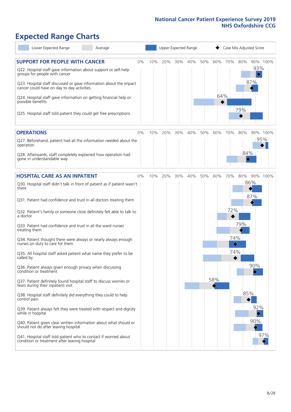# **Expected Range Charts**

| Lower Expected Range<br>Average                                                                                                                                                                                                                                                                                                                                                                                                                                                                                                                                                                                                                                                                                                                                                                                                                                                                                                                                                                                                                                                                                                                                                   |       |     |     |     | Upper Expected Range |     |            |                               |                   | Case Mix Adjusted Score                               |     |
|-----------------------------------------------------------------------------------------------------------------------------------------------------------------------------------------------------------------------------------------------------------------------------------------------------------------------------------------------------------------------------------------------------------------------------------------------------------------------------------------------------------------------------------------------------------------------------------------------------------------------------------------------------------------------------------------------------------------------------------------------------------------------------------------------------------------------------------------------------------------------------------------------------------------------------------------------------------------------------------------------------------------------------------------------------------------------------------------------------------------------------------------------------------------------------------|-------|-----|-----|-----|----------------------|-----|------------|-------------------------------|-------------------|-------------------------------------------------------|-----|
| <b>SUPPORT FOR PEOPLE WITH CANCER</b><br>Q22. Hospital staff gave information about support or self-help<br>groups for people with cancer<br>Q23. Hospital staff discussed or gave information about the impact<br>cancer could have on day to day activities<br>Q24. Hospital staff gave information on getting financial help or<br>possible benefits<br>Q25. Hospital staff told patient they could get free prescriptions                                                                                                                                                                                                                                                                                                                                                                                                                                                                                                                                                                                                                                                                                                                                                     | $0\%$ | 10% | 20% | 30% | 40%                  | 50% | 60%<br>64% | 70%                           | 80%<br>79%        | 90% 100%<br>93%<br>$\color{blue}\blacklozenge$<br>87% |     |
| <b>OPERATIONS</b><br>Q27. Beforehand, patient had all the information needed about the<br>operation<br>Q28. Afterwards, staff completely explained how operation had<br>gone in understandable way                                                                                                                                                                                                                                                                                                                                                                                                                                                                                                                                                                                                                                                                                                                                                                                                                                                                                                                                                                                | 0%    | 10% | 20% | 30% | 40%                  | 50% | 60%        | 70%                           | 80%<br>84%        | 90% 100%<br>95%                                       |     |
| <b>HOSPITAL CARE AS AN INPATIENT</b><br>Q30. Hospital staff didn't talk in front of patient as if patient wasn't<br>there<br>Q31. Patient had confidence and trust in all doctors treating them<br>Q32. Patient's family or someone close definitely felt able to talk to<br>a doctor<br>Q33. Patient had confidence and trust in all the ward nurses<br>treating them<br>Q34. Patient thought there were always or nearly always enough<br>nurses on duty to care for them<br>Q35. All hospital staff asked patient what name they prefer to be<br>called by<br>Q36. Patient always given enough privacy when discussing<br>condition or treatment<br>Q37. Patient definitely found hospital staff to discuss worries or<br>fears during their inpatient visit<br>Q38. Hospital staff definitely did everything they could to help<br>control pain<br>Q39. Patient always felt they were treated with respect and dignity<br>while in hospital<br>Q40. Patient given clear written information about what should or<br>should not do after leaving hospital<br>Q41. Hospital staff told patient who to contact if worried about<br>condition or treatment after leaving hospital | $0\%$ | 10% | 20% | 30% | 40%                  | 50% | 60%<br>58% | 70%<br>72%<br>74%<br>♦<br>74% | 80%<br>79%<br>85% | 90% 100%<br>86%<br>87%<br>90%<br>92%<br>♦<br>90%      | 97% |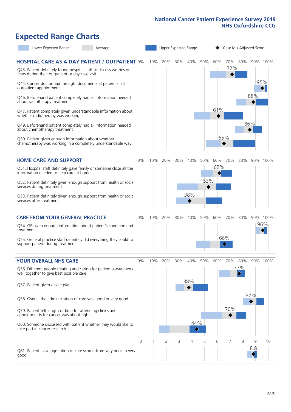# **Expected Range Charts**

| Lower Expected Range                                                                                                                                                                                                                                                                                                                                                                                                                                                                                                                                                                                                                                                                                   | Average |          |     | Upper Expected Range |     |                                               |            | Case Mix Adjusted Score |                   |            |            |                 |  |
|--------------------------------------------------------------------------------------------------------------------------------------------------------------------------------------------------------------------------------------------------------------------------------------------------------------------------------------------------------------------------------------------------------------------------------------------------------------------------------------------------------------------------------------------------------------------------------------------------------------------------------------------------------------------------------------------------------|---------|----------|-----|----------------------|-----|-----------------------------------------------|------------|-------------------------|-------------------|------------|------------|-----------------|--|
| <b>HOSPITAL CARE AS A DAY PATIENT / OUTPATIENT 0%</b><br>Q43. Patient definitely found hospital staff to discuss worries or<br>fears during their outpatient or day case visit<br>Q44. Cancer doctor had the right documents at patient's last<br>outpatient appointment<br>Q46. Beforehand patient completely had all information needed<br>about radiotherapy treatment<br>Q47. Patient completely given understandable information about<br>whether radiotherapy was working<br>Q49. Beforehand patient completely had all information needed<br>about chemotherapy treatment<br>Q50. Patient given enough information about whether<br>chemotherapy was working in a completely understandable way |         |          | 10% | 20%                  | 30% | 40%                                           | 50%        | 60%<br>61%              | 70%<br>72%<br>65% | 80%        | 88%<br>86% | 90% 100%<br>95% |  |
| <b>HOME CARE AND SUPPORT</b><br>Q51. Hospital staff definitely gave family or someone close all the<br>information needed to help care at home<br>Q52. Patient definitely given enough support from health or social<br>services during treatment<br>Q53. Patient definitely given enough support from health or social<br>services after treatment                                                                                                                                                                                                                                                                                                                                                    |         | 0%       | 10% | 20%                  | 30% | 40%<br>38%                                    | 50%<br>53% | 62%                     | 60% 70%           | 80%        |            | 90% 100%        |  |
| <b>CARE FROM YOUR GENERAL PRACTICE</b><br>Q54. GP given enough information about patient's condition and<br>treatment<br>Q55. General practice staff definitely did everything they could to<br>support patient during treatment                                                                                                                                                                                                                                                                                                                                                                                                                                                                       |         | 0%       | 10% | 20%                  | 30% | 40%                                           | 50%        | 60%                     | 70%<br>66%<br>♦   | 80%        |            | 90% 100%<br>96% |  |
| <b>YOUR OVERALL NHS CARE</b><br>Q56. Different people treating and caring for patient always work<br>well together to give best possible care<br>Q57. Patient given a care plan<br>Q58. Overall the administration of care was good or very good<br>Q59. Patient felt length of time for attending clinics and<br>appointments for cancer was about right<br>Q60. Someone discussed with patient whether they would like to<br>take part in cancer research                                                                                                                                                                                                                                            |         | $0\%$    | 10% | 20%                  | 30% | 40%<br>38%<br>44%<br>$\color{black} \diamond$ | 50%        | 60%                     | 70%<br>70%        | 80%<br>77% | 87%        | 90% 100%        |  |
| Q61. Patient's average rating of care scored from very poor to very<br>good                                                                                                                                                                                                                                                                                                                                                                                                                                                                                                                                                                                                                            |         | $\Omega$ |     | 2                    | 3   | 4                                             | 5          | 6                       |                   | 8          | 9<br>8.8   | 10              |  |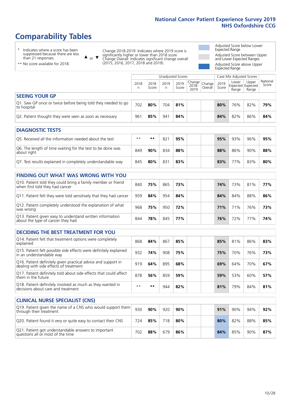# **Comparability Tables**

\* Indicates where a score has been suppressed because there are less than 21 responses.

\*\* No score available for 2018.

 $\triangle$  or  $\nabla$ 

Change 2018-2019: Indicates where 2019 score is significantly higher or lower than 2018 score Change Overall: Indicates significant change overall (2015, 2016, 2017, 2018 and 2019).

Adjusted Score below Lower Expected Range Adjusted Score between Upper and Lower Expected Ranges Adjusted Score above Upper Expected Range

|                                                                                                 |           |               | <b>Unadjusted Scores</b> |               |                            |                   |               | Case Mix Adjusted Scores                   |                |                   |
|-------------------------------------------------------------------------------------------------|-----------|---------------|--------------------------|---------------|----------------------------|-------------------|---------------|--------------------------------------------|----------------|-------------------|
|                                                                                                 | 2018<br>n | 2018<br>Score | 2019<br>n                | 2019<br>Score | Change<br>$2018 -$<br>2019 | Change<br>Overall | 2019<br>Score | Lower<br><b>Expected Expected</b><br>Range | Upper<br>Range | National<br>Score |
| <b>SEEING YOUR GP</b>                                                                           |           |               |                          |               |                            |                   |               |                                            |                |                   |
| Q1. Saw GP once or twice before being told they needed to go<br>to hospital                     | 702       | 80%           | 704                      | 81%           |                            |                   | 80%           | 76%                                        | 82%            | 79%               |
| Q2. Patient thought they were seen as soon as necessary                                         | 961       | 85%           | 941                      | 84%           |                            |                   | 84%           | 82%                                        | 86%            | 84%               |
| <b>DIAGNOSTIC TESTS</b>                                                                         |           |               |                          |               |                            |                   |               |                                            |                |                   |
| Q5. Received all the information needed about the test                                          | $***$     | **            | 821                      | 95%           |                            |                   | 95%           | 93%                                        | 96%            | 95%               |
| Q6. The length of time waiting for the test to be done was<br>about right                       | 849       | 90%           | 834                      | 88%           |                            |                   | 88%           | 86%                                        | 90%            | 88%               |
| Q7. Test results explained in completely understandable way                                     | 845       | 80%           | 831                      | 83%           |                            |                   | 83%           | 77%                                        | 83%            | 80%               |
|                                                                                                 |           |               |                          |               |                            |                   |               |                                            |                |                   |
| FINDING OUT WHAT WAS WRONG WITH YOU                                                             |           |               |                          |               |                            |                   |               |                                            |                |                   |
| Q10. Patient told they could bring a family member or friend<br>when first told they had cancer | 840       | 75%           | 865                      | 73%           |                            |                   | 74%           | 73%                                        | 81%            | 77%               |
| Q11. Patient felt they were told sensitively that they had cancer                               | 959       | 84%           | 954                      | 84%           |                            |                   | 84%           | 84%                                        | 88%            | 86%               |

| QTT. Laucht Teit they were told sensitively that they had cancer                               |     | 232 LOT 70 | - 225 | - 977 |  | $0 - 70$ | $O + 70$ | - 99.ZU | JU  |
|------------------------------------------------------------------------------------------------|-----|------------|-------|-------|--|----------|----------|---------|-----|
| Q12. Patient completely understood the explanation of what<br>was wrong                        | 968 | 75%        | 950   | 72%   |  | 71%      | 71%      | 76%     | 73% |
| Q13. Patient given easy to understand written information<br>about the type of cancer they had | 844 | 78%        | 845   | 77%   |  | 76%      | 72%      | 77%     | 74% |

| <b>DECIDING THE BEST TREATMENT FOR YOU</b> |  |
|--------------------------------------------|--|
|                                            |  |

| Q14. Patient felt that treatment options were completely<br>explained                                   | 868  | 84% | 867 | 85% |  | 85% | 81% | 86% | 83% |
|---------------------------------------------------------------------------------------------------------|------|-----|-----|-----|--|-----|-----|-----|-----|
| Q15. Patient felt possible side effects were definitely explained<br>in an understandable way           | 932  | 74% | 908 | 75% |  | 75% | 70% | 76% | 73% |
| Q16. Patient definitely given practical advice and support in<br>dealing with side effects of treatment | 919  | 64% | 895 | 68% |  | 69% | 64% | 70% | 67% |
| Q17. Patient definitely told about side effects that could affect<br>them in the future                 | 878  | 56% | 859 | 59% |  | 59% | 53% | 60% | 57% |
| Q18. Patient definitely involved as much as they wanted in<br>decisions about care and treatment        | $**$ | **  | 944 | 82% |  | 81% | 79% | 84% | 81% |

| <b>CLINICAL NURSE SPECIALIST (CNS)</b>                                                    |     |     |     |     |     |     |     |     |
|-------------------------------------------------------------------------------------------|-----|-----|-----|-----|-----|-----|-----|-----|
| Q19. Patient given the name of a CNS who would support them<br>through their treatment    | 930 | 90% | 920 | 90% | 91% | 90% | 94% | 92% |
| Q20. Patient found it very or quite easy to contact their CNS                             | 724 | 85% | 718 | 80% | 80% | 82% | 88% | 85% |
| Q21. Patient got understandable answers to important<br>questions all or most of the time | 702 | 88% | 679 | 86% | 84% | 85% | 90% | 87% |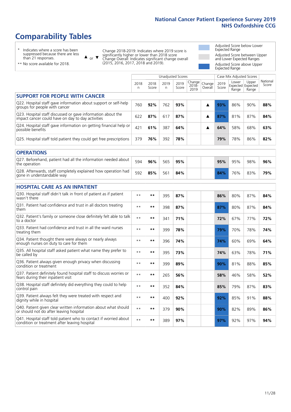# **Comparability Tables**

\* Indicates where a score has been suppressed because there are less than 21 responses.

\*\* No score available for 2018.

 $\triangle$  or  $\nabla$ 

Change 2018-2019: Indicates where 2019 score is significantly higher or lower than 2018 score Change Overall: Indicates significant change overall (2015, 2016, 2017, 2018 and 2019).

Adjusted Score below Lower Expected Range Adjusted Score between Upper and Lower Expected Ranges Adjusted Score above Upper Expected Range

|                                                                                                                   |              |               |            | <b>Unadjusted Scores</b> |                         |                   |               | Case Mix Adjusted Scores            |                |                   |
|-------------------------------------------------------------------------------------------------------------------|--------------|---------------|------------|--------------------------|-------------------------|-------------------|---------------|-------------------------------------|----------------|-------------------|
|                                                                                                                   | 2018<br>n    | 2018<br>Score | 2019<br>n. | 2019<br>Score            | Change<br>2018-<br>2019 | Change<br>Overall | 2019<br>Score | Lower<br>Expected Expected<br>Range | Upper<br>Range | National<br>Score |
| <b>SUPPORT FOR PEOPLE WITH CANCER</b>                                                                             |              |               |            |                          |                         |                   |               |                                     |                |                   |
| Q22. Hospital staff gave information about support or self-help<br>groups for people with cancer                  | 760          | 92%           | 762        | 93%                      |                         | ▲                 | 93%           | 86%                                 | 90%            | 88%               |
| Q23. Hospital staff discussed or gave information about the<br>impact cancer could have on day to day activities  | 622          | 87%           | 617        | 87%                      |                         | ▲                 | 87%           | 81%                                 | 87%            | 84%               |
| Q24. Hospital staff gave information on getting financial help or<br>possible benefits                            | 421          | 61%           | 387        | 64%                      |                         | ▲                 | 64%           | 58%                                 | 68%            | 63%               |
| Q25. Hospital staff told patient they could get free prescriptions                                                | 379          | 76%           | 392        | 78%                      |                         |                   | 79%           | 78%                                 | 86%            | 82%               |
| <b>OPERATIONS</b>                                                                                                 |              |               |            |                          |                         |                   |               |                                     |                |                   |
| Q27. Beforehand, patient had all the information needed about<br>the operation                                    | 594          | 96%           | 565        | 95%                      |                         |                   | 95%           | 95%                                 | 98%            | 96%               |
| Q28. Afterwards, staff completely explained how operation had<br>gone in understandable way                       | 592          | 85%           | 561        | 84%                      |                         |                   | 84%           | 76%                                 | 83%            | 79%               |
| <b>HOSPITAL CARE AS AN INPATIENT</b>                                                                              |              |               |            |                          |                         |                   |               |                                     |                |                   |
| Q30. Hospital staff didn't talk in front of patient as if patient<br>wasn't there                                 | $**$         | **            | 395        | 87%                      |                         |                   | 86%           | 80%                                 | 87%            | 84%               |
| Q31. Patient had confidence and trust in all doctors treating<br>them                                             | $\star\star$ | **            | 398        | 87%                      |                         |                   | 87%           | 80%                                 | 87%            | 84%               |
| Q32. Patient's family or someone close definitely felt able to talk<br>to a doctor                                | $* *$        | **            | 341        | 71%                      |                         |                   | 72%           | 67%                                 | 77%            | 72%               |
| Q33. Patient had confidence and trust in all the ward nurses<br>treating them                                     | $\star\star$ | **            | 399        | 78%                      |                         |                   | 79%           | 70%                                 | 78%            | 74%               |
| Q34. Patient thought there were always or nearly always<br>enough nurses on duty to care for them                 | $* *$        | **            | 396        | 74%                      |                         |                   | 74%           | 60%                                 | 69%            | 64%               |
| Q35. All hospital staff asked patient what name they prefer to<br>be called by                                    | $**$         | **            | 395        | 73%                      |                         |                   | 74%           | 63%                                 | 78%            | 71%               |
| Q36. Patient always given enough privacy when discussing<br>condition or treatment                                | $* *$        | **            | 399        | 89%                      |                         |                   | 90%           | 81%                                 | 88%            | 85%               |
| Q37. Patient definitely found hospital staff to discuss worries or<br>fears during their inpatient visit          | $**$         | **            | 265        | 56%                      |                         |                   | 58%           | 46%                                 | 58%            | 52%               |
| Q38. Hospital staff definitely did everything they could to help<br>control pain                                  | $* *$        | **            | 352        | 84%                      |                         |                   | 85%           | 79%                                 | 87%            | 83%               |
| Q39. Patient always felt they were treated with respect and<br>dignity while in hospital                          | $\star\star$ | **            | 400        | 92%                      |                         |                   | 92%           | 85%                                 | 91%            | 88%               |
| Q40. Patient given clear written information about what should<br>or should not do after leaving hospital         | $**$         | **            | 379        | 90%                      |                         |                   | 90%           | 82%                                 | 89%            | 86%               |
| Q41. Hospital staff told patient who to contact if worried about<br>condition or treatment after leaving hospital | $\star\star$ | **            | 389        | 97%                      |                         |                   | 97%           | 92%                                 | 97%            | 94%               |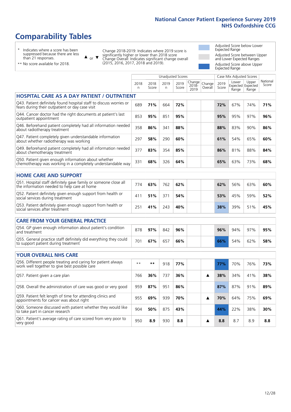# **Comparability Tables**

\* Indicates where a score has been suppressed because there are less than 21 responses.

\*\* No score available for 2018.

or  $\blacktriangledown$  $\blacktriangle$ 

Change 2018-2019: Indicates where 2019 score is significantly higher or lower than 2018 score Change Overall: Indicates significant change overall (2015, 2016, 2017, 2018 and 2019).

Adjusted Score below Lower Expected Range Adjusted Score between Upper and Lower Expected Ranges Adjusted Score above Upper Expected Range

National Score

|                                                                                                                       |           |               |           | Unadjusted Scores |                         |                   |               | Case Mix Adjusted Scores |                                     |                  |
|-----------------------------------------------------------------------------------------------------------------------|-----------|---------------|-----------|-------------------|-------------------------|-------------------|---------------|--------------------------|-------------------------------------|------------------|
|                                                                                                                       | 2018<br>n | 2018<br>Score | 2019<br>n | 2019<br>Score     | Change<br>2018-<br>2019 | Change<br>Overall | 2019<br>Score | Lower<br>Range           | Upper<br>Expected Expected<br>Range | Nation.<br>Score |
| <b>HOSPITAL CARE AS A DAY PATIENT /</b><br><b>OUTPATIENT</b>                                                          |           |               |           |                   |                         |                   |               |                          |                                     |                  |
| Q43. Patient definitely found hospital staff to discuss worries or<br>fears during their outpatient or day case visit | 689       | 71%           | 664       | 72%               |                         |                   | 72%           | 67%                      | 74%                                 | 71%              |
| Q44. Cancer doctor had the right documents at patient's last<br>outpatient appointment                                | 853       | 95%           | 851       | 95%               |                         |                   | 95%           | 95%                      | 97%                                 | 96%              |
| Q46. Beforehand patient completely had all information needed<br>about radiotherapy treatment                         | 358       | 86%           | 341       | 88%               |                         |                   | 88%           | 83%                      | 90%                                 | 86%              |
| Q47. Patient completely given understandable information<br>about whether radiotherapy was working                    | 297       | 58%           | 290       | 60%               |                         |                   | 61%           | 54%                      | 65%                                 | 60%              |
| Q49. Beforehand patient completely had all information needed<br>about chemotherapy treatment                         | 377       | 83%           | 354       | 85%               |                         |                   | 86%           | 81%                      | 88%                                 | 84%              |
| Q50. Patient given enough information about whether<br>chemotherapy was working in a completely understandable way    | 331       | 68%           | 326       | 64%               |                         |                   | 65%           | 63%                      | 73%                                 | 68%              |
| <b>HOME CARE AND SUPPORT</b>                                                                                          |           |               |           |                   |                         |                   |               |                          |                                     |                  |
| Q51. Hospital staff definitely gave family or someone close all<br>the information needed to help care at home        | 774       | 63%           | 762       | 62%               |                         |                   | 62%           | 56%                      | 63%                                 | 60%              |

| Q51. Hospital staff definitely gave family or someone close all<br>the information needed to help care at home | 774 | 63% | 762 | 62% | 62% | 56% | 63% | 60% |
|----------------------------------------------------------------------------------------------------------------|-----|-----|-----|-----|-----|-----|-----|-----|
| Q52. Patient definitely given enough support from health or<br>social services during treatment                | 411 | 51% | 371 | 54% | 53% | 45% | 59% | 52% |
| Q53. Patient definitely given enough support from health or<br>social services after treatment                 | 251 | 41% | 243 | 40% | 38% | 39% | 51% | 45% |

| <b>CARE FROM YOUR GENERAL PRACTICE</b>                                                                  |     |     |     |     |     |     |     |     |
|---------------------------------------------------------------------------------------------------------|-----|-----|-----|-----|-----|-----|-----|-----|
| Q54. GP given enough information about patient's condition<br>and treatment                             | 878 | 97% | 842 | 96% | 96% | 94% | 97% | 95% |
| Q55. General practice staff definitely did everything they could<br>to support patient during treatment | 701 | 67% | 657 | 66% | 66% | 54% | 62% | 58% |

| <b>YOUR OVERALL NHS CARE</b>                                                                                  |      |       |     |     |  |     |     |     |     |
|---------------------------------------------------------------------------------------------------------------|------|-------|-----|-----|--|-----|-----|-----|-----|
| Q56. Different people treating and caring for patient always<br>work well together to give best possible care | $**$ | $* *$ | 918 | 77% |  | 77% | 70% | 76% | 73% |
| Q57. Patient given a care plan                                                                                | 766  | 36%   | 737 | 36% |  | 38% | 34% | 41% | 38% |
| Q58. Overall the administration of care was good or very good                                                 | 959  | 87%   | 951 | 86% |  | 87% | 87% | 91% | 89% |
| Q59. Patient felt length of time for attending clinics and<br>appointments for cancer was about right         | 955  | 69%   | 939 | 70% |  | 70% | 64% | 75% | 69% |
| Q60. Someone discussed with patient whether they would like<br>to take part in cancer research                | 904  | 50%   | 875 | 43% |  | 44% | 22% | 38% | 30% |
| Q61. Patient's average rating of care scored from very poor to<br>very good                                   | 950  | 8.9   | 930 | 8.8 |  | 8.8 | 8.7 | 8.9 | 8.8 |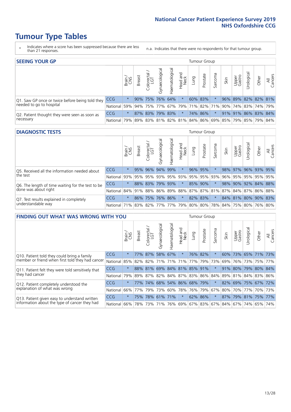# **Tumour Type Tables**

- \* Indicates where a score has been suppressed because there are less than 21 responses.
- n.a. Indicates that there were no respondents for that tumour group.

| <b>SEEING YOUR GP</b>                           |            |         |               |                   |                |                |                  |      | Tumour Group |         |      |                 |                                                     |       |                |
|-------------------------------------------------|------------|---------|---------------|-------------------|----------------|----------------|------------------|------|--------------|---------|------|-----------------|-----------------------------------------------------|-------|----------------|
|                                                 |            | Brain   | <b>Breast</b> | Colorectal<br>LGT | Gynaecological | Haematological | Head and<br>Neck | Dung | Prostate     | Sarcoma | Skin | Upper<br>Gastro | Urological                                          | Other | All<br>Cancers |
| Q1. Saw GP once or twice before being told they | <b>CCG</b> | $\star$ |               | 90% 75%           | 76% 64%        |                | $\star$          |      | 60% 83%      |         |      |                 | 96% 89% 82% 82% 81%                                 |       |                |
| needed to go to hospital                        | National   | 59%     |               |                   |                |                |                  |      |              |         |      |                 | 94% 75% 77% 67% 79% 71% 82% 71% 90% 74% 83% 74% 79% |       |                |
| Q2. Patient thought they were seen as soon as   | <b>CCG</b> | $\star$ |               | 87% 83% 79% 83%   |                |                | $\ast$           |      | 74% 86%      | $\star$ |      |                 | 91% 91% 86% 83% 84%                                 |       |                |
| necessary                                       | National   | 79%     |               |                   |                |                |                  |      |              |         |      |                 | 89% 83% 81% 82% 81% 84% 86% 69% 85% 79% 85% 79% 84% |       |                |

#### **DIAGNOSTIC TESTS** Tumour Group

|                                                   |                                                                  | Super   | <b>Breast</b> | Colorectal<br>LGT | $\overline{\sigma}$<br>Gynaecologic | Haematological | Head and<br>Neck | Lung    | Prostate | Sarcoma             | Skin | Upper<br>Gastro | Irological          | Other | All<br>Cancers |
|---------------------------------------------------|------------------------------------------------------------------|---------|---------------|-------------------|-------------------------------------|----------------|------------------|---------|----------|---------------------|------|-----------------|---------------------|-------|----------------|
| Q5. Received all the information needed about     | <b>CCG</b>                                                       | $\star$ |               | 95% 96% 94%       |                                     | 99%            | $\star$          | 96% 95% |          |                     |      |                 | 98% 97% 96% 93% 95% |       |                |
| the test                                          | National                                                         | 93%     | 95%           | 95%               | 93%                                 |                |                  |         |          | 95% 93% 95% 95% 93% | 96%  |                 | 95% 95% 95% 95%     |       |                |
| Q6. The length of time waiting for the test to be | <b>CCG</b>                                                       | $\star$ |               | 88% 83%           | 79%                                 | 93%            | $\star$          | 85% 90% |          |                     | 98%  |                 | 90% 92% 84% 88%     |       |                |
| done was about right                              | National 84% 91% 88% 86% 89% 88% 87% 87% 81% 87% 84% 87% 86% 88% |         |               |                   |                                     |                |                  |         |          |                     |      |                 |                     |       |                |
| Q7. Test results explained in completely          | <b>CCG</b>                                                       | $\star$ |               | 86% 75%           |                                     | 76% 86%        | $\star$          | 82% 83% |          | $\star$             |      |                 | 84% 81% 80% 90% 83% |       |                |
| understandable way                                | National 71% 83% 82% 77% 77% 79% 80% 80% 78% 84% 75% 80% 76% 80% |         |               |                   |                                     |                |                  |         |          |                     |      |                 |                     |       |                |

| <b>FINDING OUT WHAT WAS WRONG WITH YOU</b>        |            |         |               |                        |                         |                     |                        |                 | Tumour Group |         |                                             |                 |            |                     |                |
|---------------------------------------------------|------------|---------|---------------|------------------------|-------------------------|---------------------|------------------------|-----------------|--------------|---------|---------------------------------------------|-----------------|------------|---------------------|----------------|
|                                                   |            | Brain   | <b>Breast</b> | olorectal.<br>LGT<br>Ũ | Gynaecological          | Haematological      | ad and<br>Neck<br>Head | Lung            | Prostate     | Sarcoma | Skin                                        | Upper<br>Gastro | Urological | Other               | All<br>Cancers |
| Q10. Patient told they could bring a family       | <b>CCG</b> | $\star$ |               | 77% 87%                | 58%                     | 67%                 | $\ast$                 |                 | 76% 82%      | $\star$ | 60%                                         |                 |            | 73% 65% 71% 73%     |                |
| member or friend when first told they had cancer  | National   | 85%     | 82%           | 82%                    |                         | 71% 71%             | 71%                    | 77%             | 79%          | 73%     | 69%                                         | 76%             | 73%        |                     | 75% 77%        |
| Q11. Patient felt they were told sensitively that | <b>CCG</b> | $\star$ |               | 88% 81%                |                         | 69% 84% 81% 85% 91% |                        |                 |              | $\star$ | 91%                                         | 80%             | 79%        | 80% 84%             |                |
| they had cancer                                   | National   | 79%     |               | 89% 87%                | 82% 84% 87% 83% 86% 84% |                     |                        |                 |              |         |                                             |                 |            | 89% 81% 84% 83% 86% |                |
| Q12. Patient completely understood the            | <b>CCG</b> | $\star$ | 77%           | 74%                    |                         | 68% 54% 86% 68% 79% |                        |                 |              | $\star$ | 82%                                         |                 |            | 69% 75% 67% 72%     |                |
| explanation of what was wrong                     | National   | 66%     | 77%           | 79%                    | 73%                     | 60%                 |                        | 78%   76%   79% |              | 67%     | 80%                                         | 70%             | 177%       |                     | 70% 73%        |
| Q13. Patient given easy to understand written     | <b>CCG</b> | $\star$ |               |                        | 75% 78% 61% 71%         |                     | $\star$                | 62% 86%         |              | $\star$ | 87%                                         |                 |            | 79% 81% 75% 77%     |                |
| information about the type of cancer they had     | National   | 66%     | 78%           | 73%                    |                         |                     |                        |                 |              |         | 71% 76% 69% 67% 83% 67% 84% 67% 74% 65% 74% |                 |            |                     |                |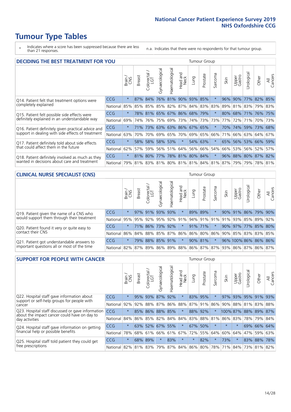# **Tumour Type Tables**

- \* Indicates where a score has been suppressed because there are less than 21 responses.
- n.a. Indicates that there were no respondents for that tumour group.

| <b>DECIDING THE BEST TREATMENT FOR YOU</b>           | <b>Tumour Group</b> |         |               |                       |                |                |                        |                         |          |                                         |      |                     |                       |             |                |
|------------------------------------------------------|---------------------|---------|---------------|-----------------------|----------------|----------------|------------------------|-------------------------|----------|-----------------------------------------|------|---------------------|-----------------------|-------------|----------------|
|                                                      |                     | Brain   | <b>Breast</b> | olorectal<br>LGT<br>Ũ | Gynaecological | Haematological | ad and<br>Neck<br>Head | Lung                    | Prostate | Sarcoma                                 | Skin | Upper<br>Gastro     | Jrological            | Other       | All<br>Cancers |
| CCG<br>Q14. Patient felt that treatment options were |                     | $\star$ | 87%           | 84%                   | 76%            |                |                        | 81% 90% 93%             | 85%      | $\star$                                 | 96%  | 90%                 |                       | 77% 82%     | 85%            |
| completely explained                                 | National            | 85%     | 85%           | 85%                   |                |                |                        | 85% 82% 87% 84% 83% 83% |          |                                         | 89%  |                     | 81% 83% 79% 83%       |             |                |
| Q15. Patient felt possible side effects were         | <b>CCG</b>          | $\star$ |               | 78% 81%               |                | 65% 67% 86%    |                        |                         | 68% 79%  |                                         | 80%  |                     | 68% 71% 76% 75%       |             |                |
| definitely explained in an understandable way        | National            | 69%     | 74%           | 76%                   |                | 75% 69%        | 73%                    |                         | 74% 73%  | 73%                                     | 77%  | 72%                 | 71%                   | 70% 73%     |                |
| Q16. Patient definitely given practical advice and   | <b>CCG</b>          | $\star$ | <b>71%</b>    |                       |                |                |                        | 73% 63% 63% 86% 67% 65% |          | 大                                       | 70%  | 74%                 |                       | 59% 73% 68% |                |
| support in dealing with side effects of treatment    | National            | 63%     | 70%           | 70%                   |                | 69% 65%        | 70%                    |                         | 69% 65%  | 66%                                     | 71%  |                     | 66%   63%   64%   67% |             |                |
| Q17. Patient definitely told about side effects      | CCG                 | $\star$ | 58%           | 58%                   |                | 58% 53%        | $\star$                |                         | 54% 63%  | $\star$                                 |      | 65% 56% 53% 66% 59% |                       |             |                |
| that could affect them in the future                 | National            | 62%     | 57%           | 59%                   |                | 56% 51%        |                        | 64% 56% 66%             |          | 54%                                     | 66%  |                     | 53% 56% 52%           |             | 57%            |
| Q18. Patient definitely involved as much as they     | <b>CCG</b>          | $\star$ |               | 81% 80%               |                |                |                        | 77% 78% 81% 80% 84%     |          | $\star$                                 |      | 96% 88% 80% 87% 82% |                       |             |                |
| wanted in decisions about care and treatment         | National            | 79%     |               |                       |                |                |                        |                         |          | 81% 83% 81% 80% 81% 81% 84% 81% 87% 79% |      |                     |                       | 79% 78% 81% |                |

### **CLINICAL NURSE SPECIALIST (CNS)** Tumour Group

|                                                                                           |            | Brain   | <b>Breast</b>   | olorectal<br>LGT<br>U | त्त<br>aecologic<br>$\tilde{\xi}$ | ক<br>aematologic<br>工 | Head and<br>Neck | Lung    | Prostate | Sarcoma | Skin | Upper<br>Gastro                                         | σ<br>rologica | Other       | All<br>ancers<br>$\cup$ |
|-------------------------------------------------------------------------------------------|------------|---------|-----------------|-----------------------|-----------------------------------|-----------------------|------------------|---------|----------|---------|------|---------------------------------------------------------|---------------|-------------|-------------------------|
| Q19. Patient given the name of a CNS who                                                  | <b>CCG</b> | $\star$ |                 | 97% 91%               | 93%                               | 93%                   | $\star$          | 89% 89% |          |         |      | 90% 91%                                                 |               | 86% 79% 90% |                         |
| would support them through their treatment                                                | National   | 95%     |                 | 95%   92%   95%       |                                   |                       |                  |         |          |         |      | 92% 91% 94% 91% 91% 91% 93% 85% 89%                     |               |             | 92%                     |
| Q20. Patient found it very or quite easy to                                               | <b>CCG</b> | $\star$ |                 | 71% 86%               | 73%                               | 92%                   | $\star$          | 91% 71% |          | $\star$ |      | 90% 97% 77% 85% 80%                                     |               |             |                         |
| contact their CNS                                                                         | National   |         |                 |                       |                                   |                       |                  |         |          |         |      | 86% 84% 88% 85% 87% 86% 86% 80% 86% 90% 85% 83% 83% 85% |               |             |                         |
| Q21. Patient got understandable answers to<br>important questions all or most of the time | CCG        | $\star$ | 79%             |                       | 88% 85% 91%                       |                       | $\star$          | 90% 81% |          | $\star$ |      | 96% 100% 86% 86% 86%                                    |               |             |                         |
|                                                                                           | National I |         | 82%   87%   89% |                       | 86%                               |                       |                  |         |          |         |      | 89%   88%   86%   87%   87%   93%   86%   87%   86%     |               |             | 87%                     |

| <b>SUPPORT FOR PEOPLE WITH CANCER</b>                                                             |            | Tumour Group |               |            |                |                |                        |             |          |                  |         |                 |            |             |                |
|---------------------------------------------------------------------------------------------------|------------|--------------|---------------|------------|----------------|----------------|------------------------|-------------|----------|------------------|---------|-----------------|------------|-------------|----------------|
|                                                                                                   |            | Brain        | <b>Breast</b> | Colorectal | Gynaecological | Haematological | ad and<br>Neck<br>Head | <b>Dung</b> | Prostate | arcoma<br>$\sim$ | Skin    | Upper<br>Gastro | Jrological | Other       | All<br>Cancers |
| Q22. Hospital staff gave information about<br>support or self-help groups for people with         | <b>CCG</b> | $\star$      | 95%           | 93%        | 87%            | 92%            | $\star$                | 83%         | 95%      | $^\star$         | 97%     | 93%             |            | 95% 91%     | 93%            |
| cancer                                                                                            | National   | 92%          | 92%           | 88%        | 87%            | 86%            | 88%                    |             | 87% 91%  | 86%              | 90%     | 88%             | 81%        | 83%         | 88%            |
| Q23. Hospital staff discussed or gave information<br>about the impact cancer could have on day to | CCG        | $\star$      | 85%           | 86%        | 88%            | 85%            | $\star$                | 88%         | 92%      | $\star$          |         | 100% 87%        | 88%        | 89%         | 87%            |
| day activities                                                                                    | National   | 84%          |               | 86% 85%    | 82%            | 84%            | 84%                    |             | 83% 88%  | 81%              | 86%     | 83%             |            | 78% 79%     | 84%            |
| Q24. Hospital staff gave information on getting                                                   | <b>CCG</b> | $\star$      |               | 63% 52%    | 67%            | 55%            | $\star$                |             | 67% 50%  | $\star$          | $\star$ | $\star$         |            | 69% 66% 64% |                |
| financial help or possible benefits                                                               | National   | 78%          |               | 68% 61%    | 66%            | 61%            | 67%                    |             | 72% 55%  | 64%              | 60%     | 64%             | 47%        | 59%         | 63%            |
| Q25. Hospital staff told patient they could get                                                   | <b>CCG</b> | $\star$      | 68%           | 89%        | $\star$        | 83%            | $\star$                | $^\star$    | 82%      | 大                | 73%     | $\star$         |            | 83% 88%     | 78%            |
| free prescriptions                                                                                | National   | 82%          |               | 81% 83%    | 79%            |                | 87% 84% 86% 80%        |             |          | 78%              | 71%     | 84%             |            | 73% 81% 82% |                |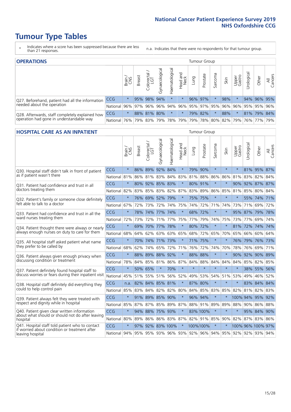# **Tumour Type Tables**

- \* Indicates where a score has been suppressed because there are less than 21 responses.
- n.a. Indicates that there were no respondents for that tumour group.

| <b>OPERATIONS</b>                                                                           |              |         |               |                   |                                     |                     |                  |             |                     | Tumour Group |      |                 |            |                                         |                |  |  |  |  |
|---------------------------------------------------------------------------------------------|--------------|---------|---------------|-------------------|-------------------------------------|---------------------|------------------|-------------|---------------------|--------------|------|-----------------|------------|-----------------------------------------|----------------|--|--|--|--|
|                                                                                             |              | Brain   | <b>Breast</b> | Colorectal<br>LGT | $\overline{\sigma}$<br>Gynaecologic | Haematological      | Head and<br>Neck | <b>Dung</b> | Prostate            | Sarcoma      | Skin | Upper<br>Gastro | Jrological | Other                                   | All<br>Cancers |  |  |  |  |
| Q27. Beforehand, patient had all the information                                            | CCG          | $\star$ |               | 95% 98%           | 94%                                 | $\star$             | $\ast$           |             | 96% 97%             |              | 98%  |                 |            | 94% 96% 95%                             |                |  |  |  |  |
| needed about the operation                                                                  | National     | $96\%$  |               | 97% 96% 96%       |                                     |                     |                  |             |                     |              |      |                 |            | 94% 96% 95% 97% 95% 96% 96% 95% 95% 96% |                |  |  |  |  |
| Q28. Afterwards, staff completely explained how<br>operation had gone in understandable way | <b>CCG</b>   | $\star$ |               | 88% 81% 80%       |                                     | $\star$             | $\ast$           |             | 79% 82%             |              | 88%  | $\star$         |            | 81% 79% 84%                             |                |  |  |  |  |
|                                                                                             | National 76% |         |               |                   |                                     | 79% 83% 79% 78% 79% |                  |             | 79% 78% 80% 82% 79% |              |      |                 |            | 76% 77%                                 | 79%            |  |  |  |  |

#### **HOSPITAL CARE AS AN INPATIENT** Tumour Group

|                                                                                                  |          | Brain   | <b>Breast</b>        | $\frac{\text{Colored}}{\text{LGT}}$ | Gynaecological | Haematological  | Head and<br>Neck | Lung            | Prostate | Sarcoma | Skin    | Upper<br>Gastro                                     | Urological   | Other             | Cancers<br>$\overline{\overline{z}}$ |
|--------------------------------------------------------------------------------------------------|----------|---------|----------------------|-------------------------------------|----------------|-----------------|------------------|-----------------|----------|---------|---------|-----------------------------------------------------|--------------|-------------------|--------------------------------------|
| Q30. Hospital staff didn't talk in front of patient                                              | CCG      | $\star$ | 86%                  | 89%                                 | 92%            | 84%             | $\star$          | 79%             | 90%      | $\star$ | $\star$ | $\star$                                             |              | 81% 95% 87%       |                                      |
| as if patient wasn't there                                                                       | National | 81%     | $86\%$               | 81% 83%                             |                | 84% 83%         |                  | 81%             | 88%      | 86%     | 86%     | 81%                                                 |              | 83% 82%           | 84%                                  |
| 031. Patient had confidence and trust in all                                                     | CCG      | $\star$ | 80%                  | 92% 85% 83%                         |                |                 | $\star$          | 80%             | 91%      | $\star$ | $\star$ | 90%                                                 |              | 92% 87% 87%       |                                      |
| doctors treating them                                                                            | National | 82%     | 83%                  | 85%                                 | 83%            | 82%             | 87%              | 83%             | 89%      | 86%     | 85%     | 81%                                                 | 85%          | 80%               | 84%                                  |
| Q32. Patient's family or someone close definitely                                                | CCG      | $\star$ |                      | 76% 69%                             | 52%            | 79%             | $\star$          |                 | 75% 75%  | $\star$ | $\star$ | $\star$                                             |              | 55% 74% 71%       |                                      |
| felt able to talk to a doctor                                                                    | National | 67%     | 72%                  | 73%                                 | 72%            | 74%             | 75%              | 74%             | 72%      | 71%     | 74%     | 73%                                                 | 71%          | 69%               | 72%                                  |
| Q33. Patient had confidence and trust in all the                                                 | CCG      | $\star$ | 78%                  | 74%                                 | 77%            | 74%             | $\star$          |                 | 68% 72%  | $\star$ | $\star$ |                                                     |              | 95% 87% 79% 78%   |                                      |
| ward nurses treating them                                                                        | National | 72%     | 73%                  | 72%                                 |                | 71% 77%         | 75%              | 77%             | 79%      | 74%     | 75%     |                                                     | 73% 77%      | 69%               | 74%                                  |
| Q34. Patient thought there were always or nearly                                                 | CCG      | $\star$ | 69%                  | 70% 77%                             |                | 78%             | $\star$          | 80%             | 72%      | $\star$ | $\star$ | 81%                                                 |              | 72% 74% 74%       |                                      |
| always enough nurses on duty to care for them                                                    | National | 68%     | 64%                  | 62%                                 | 63%            | 63%             | 65%              | 68%             | 72%      | 65%     | 70%     | 65%                                                 | 66%          | 60% 64%           |                                      |
| Q35. All hospital staff asked patient what name                                                  | CCG      | $\star$ |                      | 70% 74% 71% 73%                     |                |                 | $\star$          |                 | 71% 75%  | $\star$ | $\star$ |                                                     |              | 76% 79% 76% 73%   |                                      |
| they prefer to be called by                                                                      | National | 68%     | 62%                  | 74%                                 | 65%            | 72%             | 71%              | 76%             | 72%      | 74%     | 70%     | 78%                                                 | 76%          | 69%               | 71%                                  |
| Q36. Patient always given enough privacy when                                                    | CCG      | $\star$ | 88%                  | 89%                                 | 88% 92%        |                 | $\star$          | 88%             | 88%      | $\star$ | $\star$ | 90%                                                 | 92%          | 90% 89%           |                                      |
| discussing condition or treatment                                                                | National | 78%     |                      | 84% 85%                             | 81%            |                 |                  | 86% 87% 84%     | 88%      | 84%     | 84%     | 84%                                                 |              | 85% 82% 85%       |                                      |
| Q37. Patient definitely found hospital staff to                                                  | CCG      | $\star$ | 50%                  | 65%                                 | $\star$        | 70%             | $\star$          | $\star$         | $\star$  | $\star$ | $\star$ | $\star$                                             |              | 38% 55%           | 56%                                  |
| discuss worries or fears during their inpatient visit                                            | National | 45%     |                      | 51% 55% 51%                         |                | 56%             |                  | 52% 49%         | 53%      | 54%     |         | 51% 53%                                             | 49%          | 46% 52%           |                                      |
| Q38. Hospital staff definitely did everything they                                               | CCG      |         | n.a. 82% 84% 85% 81% |                                     |                |                 | $\ast$           | 87%             | 80%      | $\star$ | $\star$ | $\star$                                             |              | 83% 84% 84%       |                                      |
| could to help control pain                                                                       | National | 85%     | 83%                  |                                     |                | 84% 82% 82% 80% |                  | 84%             | 85%      | 83%     | 85%     | 82%                                                 |              | 81% 82% 83%       |                                      |
| Q39. Patient always felt they were treated with                                                  | CCG      | $\star$ |                      | 91% 89% 85% 90%                     |                |                 | $\star$          |                 | 96% 94%  | $\star$ |         |                                                     | 100% 94% 95% |                   | 92%                                  |
| respect and dignity while in hospital                                                            | National | 85%     | 87%                  | 87%                                 | 85%            | 89%             | 87%              |                 | 88% 91%  | 89%     | 89%     | 88%                                                 | 90%          | 86%               | 88%                                  |
| Q40. Patient given clear written information<br>about what should or should not do after leaving | CCG      | $\star$ | 94%                  | 88%                                 | 75% 93%        |                 | $\star$          |                 | 83% 100% | $\star$ | $\star$ | $\star$                                             |              | 95% 84% 90%       |                                      |
| hospital                                                                                         | National | 80%     | 89%                  | 86%                                 |                | 86% 83%         |                  | 87% 82% 91% 85% |          |         |         | 90% 82%                                             | 87%          | 83% 86%           |                                      |
| Q41. Hospital staff told patient who to contact<br>if worried about condition or treatment after | CCG      | $\star$ | 97%                  |                                     |                | 92% 83% 100%    | $\star$          |                 | 100%100% | $\star$ | $\star$ |                                                     |              | 100% 96% 100% 97% |                                      |
| leaving hospital                                                                                 | National | 94%     |                      |                                     |                |                 |                  |                 |          |         |         | 95% 95% 93% 96% 93% 92% 96% 94% 95% 92% 92% 93% 94% |              |                   |                                      |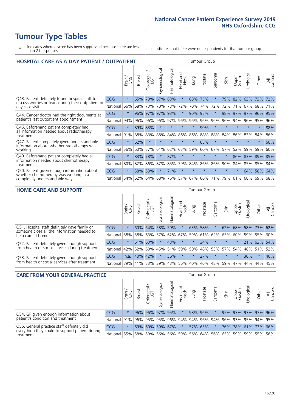# **Tumour Type Tables**

- \* Indicates where a score has been suppressed because there are less than 21 responses.
- n.a. Indicates that there were no respondents for that tumour group.

| <b>HOSPITAL CARE AS A DAY PATIENT / OUTPATIENT</b>                                         |            | Tumour Group |               |                            |                |                |                         |         |          |                  |         |                 |            |         |                |
|--------------------------------------------------------------------------------------------|------------|--------------|---------------|----------------------------|----------------|----------------|-------------------------|---------|----------|------------------|---------|-----------------|------------|---------|----------------|
|                                                                                            |            | Brain        | <b>Breast</b> | ∽<br>olorectal<br>LGT<br>Ũ | Gynaecological | Haematological | ead and<br>Neck<br>Head | Lung    | Prostate | arcoma<br>$\sim$ | Skin    | Upper<br>Gastro | Urological | Other   | All<br>Cancers |
| Q43. Patient definitely found hospital staff to                                            | <b>CCG</b> | $\star$      | 65%           | 70%                        | 67%            | 83%            | $\star$                 | 68%     | 75%      | $\star$          | 79%     | 82%             | 63%        | 73%     | 72%            |
| discuss worries or fears during their outpatient or<br>day case visit                      | National   | 66%          | 68%           | 73%                        | 70%            | 73%            | 72%                     | 70%     | 74%      | 72%              | 72%     | 71%             | 67%        | 68%     | 71%            |
| Q44. Cancer doctor had the right documents at                                              | CCG        | $\star$      | 96%           | 97%                        | 97%            | 93%            | $\star$                 | 90%     | 95%      | $\star$          | 98%     | 97%             | 97%        | 96%     | 95%            |
| patient's last outpatient appointment                                                      | National   | 94%          | 96%           | 96%                        | 96%            | 97%            | 96%                     | 96%     | 96%      | 96%              | 96%     | 94%             | 96%        | 95%     | 96%            |
| Q46. Beforehand patient completely had<br>all information needed about radiotherapy        | CCG        | $\star$      |               | 89% 83%                    | $\star$        |                | $\star$                 | $\star$ | 90%      | $\star$          |         |                 | $\star$    | $\ast$  | 88%            |
| treatment                                                                                  | National   | 91%          | 88%           | 83%                        | 88%            | 84%            | 86%                     | 86%     | 88%      | 88%              | 84%     | 86%             | 83%        | 84%     | 86%            |
| Q47. Patient completely given understandable<br>information about whether radiotherapy was | CCG        | $\star$      | 62%           | $\star$                    | $\star$        | $\star$        | $\star$                 | $\star$ | 65%      | $\star$          | $\star$ | $\star$         | $\star$    | $\star$ | 60%            |
| working                                                                                    | National   | 56%          | 60%           | 57%                        | 61%            | 62%            | 63%                     | 59%     | 60%      | 67%              | 57%     | 52%             | 59%        | 59%     | 60%            |
| Q49. Beforehand patient completely had all                                                 | <b>CCG</b> | $\star$      | 83%           | 78%                        | $\star$        | 87%            | $\star$                 | $\star$ | $\star$  | $\star$          |         | 86%             | 83%        | 89%     | 85%            |
| information needed about chemotherapy<br>treatment                                         | National   | 80%          | 82%           | 86%                        | 87%            | 85%            | 79%                     | 84%     | 86%      | 86%              | 90%     | 84%             | 85%        | 85%     | 84%            |
| Q50. Patient given enough information about                                                | CCG        | $\star$      | 58%           | 53%                        | $\star$        | 71%            | $\star$                 | $\star$ | $\star$  | $\star$          | $\star$ | $\star$         | 64%        | 58%     | 64%            |
| whether chemotherapy was working in a<br>National<br>completely understandable way         |            | 54%          | 62%           | 64%                        | 68%            | 75%            | 57%                     | 67%     | 66%      | 71%              | 79%     | 61%             | 68%        | 69%     | 68%            |

#### **HOME CARE AND SUPPORT** Tumour Group

|                                                                                                                   |            | Brain   | <b>Breast</b> | Colorectal<br>LGT | ᢛ<br>Gynaecologic | Haematological | Head and<br>Neck | <b>Lung</b> | Prostate | Sarcoma | Skin        | Upper<br>Gastro | rological | Other       | All<br>Cancers |
|-------------------------------------------------------------------------------------------------------------------|------------|---------|---------------|-------------------|-------------------|----------------|------------------|-------------|----------|---------|-------------|-----------------|-----------|-------------|----------------|
| Q51. Hospital staff definitely gave family or<br>someone close all the information needed to<br>help care at home | <b>CCG</b> | $\star$ | 60%           | 64%               |                   | 58% 59%        | $\star$          | 63%         | 58%      |         | 62%         | 68%             |           | 58% 73% 62% |                |
|                                                                                                                   | National   | 58%     |               | 58% 63%           | 57%               | 62%            |                  | 67% 59%     | 61%      |         | 62% 65%     | 60%             | 59%       | 55%         | 60%            |
| Q52. Patient definitely given enough support                                                                      | <b>CCG</b> | $\star$ | 61% 63%       |                   | $\star$           | 43%            | $\star$          | $\star$     | 34%      |         | $\star$     | $\star$         |           | 21% 63%     | 54%            |
| from health or social services during treatment                                                                   | National   | 42%     | 52%           | 60%               |                   |                | 45% 51% 59%      | 50%         |          |         | 48% 53% 57% | 54%             | 48% 51%   |             | 52%            |
| Q53. Patient definitely given enough support<br>from health or social services after treatment                    | <b>CCG</b> | n.a.    | 40%           | 142%              | $\star$           | 36%            | $\star$          | $\star$     | 27%      | $\star$ | $\star$     | $\star$         | 30%       | $\star$     | 40%            |
|                                                                                                                   | National l | 39%     | 41% 53%       |                   | 39%               | $ 43\% $       | 56%              | 40%         | 46%      |         | 48% 59%     | 47%             | 44%       | 44%         | 45%            |

| <b>CARE FROM YOUR GENERAL PRACTICE</b>                                                        |            |         |               | Tumour Group      |                |                |                                                     |      |          |         |      |                 |                     |       |                |
|-----------------------------------------------------------------------------------------------|------------|---------|---------------|-------------------|----------------|----------------|-----------------------------------------------------|------|----------|---------|------|-----------------|---------------------|-------|----------------|
|                                                                                               |            | Brain   | <b>Breast</b> | Colorectal<br>LGT | Gynaecological | Haematological | Head and<br>Neck                                    | Lung | Prostate | Sarcoma | Skin | Upper<br>Gastro | Urological          | Other | All<br>Cancers |
| Q54. GP given enough information about                                                        | <b>CCG</b> | $\star$ |               | 96% 96%           |                | 97% 95%        | $\star$                                             |      | 98% 96%  |         |      |                 | 95% 97% 97% 97% 96% |       |                |
| patient's condition and treatment                                                             | National   | 91%     |               |                   |                |                | 96% 95% 95% 96% 94% 94% 96% 94% 96% 93% 95% 94% 95% |      |          |         |      |                 |                     |       |                |
| Q55. General practice staff definitely did<br>everything they could to support patient during | <b>CCG</b> | $\star$ | 69%           | $60\%$            |                | 59% 67%        | $\star$                                             |      | 57% 65%  |         |      |                 | 76% 78% 61% 73% 66% |       |                |
| treatment                                                                                     | National   | 55%     |               | 58% 59%           |                |                | 56% 56% 59% 56% 64% 56% 65% 59% 59% 55% 58%         |      |          |         |      |                 |                     |       |                |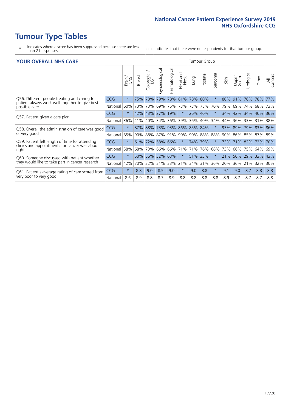# **Tumour Type Tables**

- \* Indicates where a score has been suppressed because there are less than 21 responses.
- n.a. Indicates that there were no respondents for that tumour group.

#### **YOUR OVERALL NHS CARE** THE TWO CONTROLLER THE THE THROUP CHANGE THE TUMOUR GROUP

|            | Brain   | <b>Breast</b> | Colorectal | Gynaecological | Haematological | aad and<br>Neck<br>Head              | Lung | Prostate | Sarcoma                                                                                | Skin | Upper<br>Gastro | Urological | Other                     | All<br>Cancers                   |
|------------|---------|---------------|------------|----------------|----------------|--------------------------------------|------|----------|----------------------------------------------------------------------------------------|------|-----------------|------------|---------------------------|----------------------------------|
| <b>CCG</b> | $\star$ | 75%           | 70%        | 79%            | 78%            | 81%                                  | 78%  |          | $\star$                                                                                | 80%  | 91%             | 76%        | 78%                       | 77%                              |
| National   | 60%     |               |            | 69%            | 75%            | 73%                                  |      |          | 70%                                                                                    | 79%  | 69%             | 74%        | 68%                       | 73%                              |
| <b>CCG</b> | $\star$ |               |            | 27%            | 19%            | $\star$                              |      |          | $\ast$                                                                                 | 34%  |                 |            |                           | 36%                              |
| National   | 36%     | 41%           | 40%        | 34%            | 36%            | 39%                                  | 36%  |          | 34%                                                                                    | 44%  | 36%             | 33%        | 31%                       | 38%                              |
| <b>CCG</b> | $\star$ | 87%           | 88%        |                |                | 86%                                  |      |          | $\star$                                                                                | 93%  | 89%             | 79%        |                           |                                  |
| National   | 85%     | 90%           |            | 87%            |                | 90%                                  | 90%  |          | 88%                                                                                    | 90%  | 86%             |            |                           |                                  |
| <b>CCG</b> | $\star$ | 61%           |            |                |                | $\star$                              |      |          | $\star$                                                                                | 73%  |                 |            |                           | 70%                              |
| National   | 58%     | 68%           | 73%        | 66%            | 66%            | 71%                                  | 71%  |          | 68%                                                                                    | 73%  | 66%             | 75%        | 64%                       | 69%                              |
| CCG        | $\star$ | 50%           | 56%        |                | 63%            | $\star$                              | 51%  |          | $\star$                                                                                | 21%  | 50%             | 29%        | 33%                       | 43%                              |
| National   | 42%     | 30%           | 32%        | 31%            | 33%            | 21%                                  |      |          | 36%                                                                                    | 20%  | 36%             | 21%        | 32%                       | 30%                              |
| <b>CCG</b> | $\star$ | 8.8           | 9.0        | 8.5            | 9.0            | $\star$                              | 9.0  | 8.8      | $\star$                                                                                | 9.1  | 9.0             | 8.7        | 8.8                       | 8.8                              |
| National   | 8.6     | 8.9           | 8.8        | 8.7            | 8.9            | 8.8                                  | 8.8  | 8.8      | 8.8                                                                                    | 8.9  | 8.7             | 8.7        | 8.7                       | 8.8                              |
|            |         |               |            | 43%<br>42%     | 73% 73%<br>88% | 73% 93%<br>91%<br>72% 58% 66%<br>32% |      |          | 80%<br>73% 75%<br>26% 40%<br>40%<br>85% 84%<br>88%<br>74% 79%<br>76%<br>33%<br>34% 31% |      |                 |            | 42% 34%<br>85%<br>71% 82% | 40%<br>83% 86%<br>87% 89%<br>72% |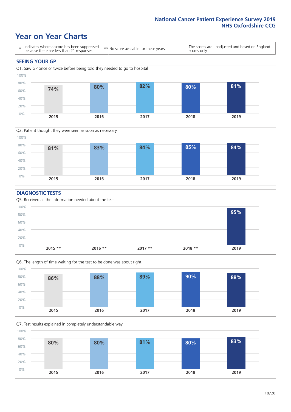### **Year on Year Charts**





#### **DIAGNOSTIC TESTS**





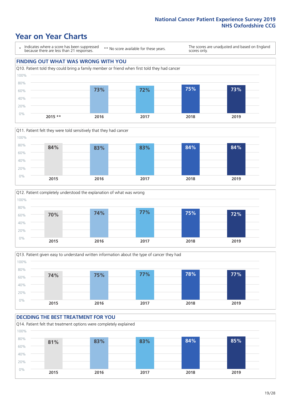### **Year on Year Charts**

\* Indicates where a score has been suppressed because there are less than 21 responses.

\*\* No score available for these years.

The scores are unadjusted and based on England scores only.









### **DECIDING THE BEST TREATMENT FOR YOU**

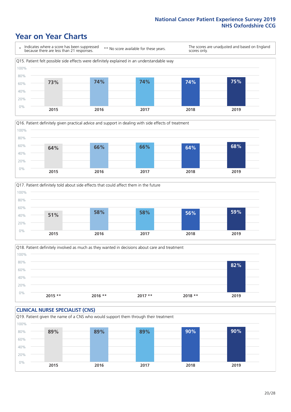### **Year on Year Charts**







Q18. Patient definitely involved as much as they wanted in decisions about care and treatment  $0%$ 20% 40% 60% 80% 100% **2015 \*\* 2016 \*\* 2017 \*\* 2018 \*\* 2019 82%**

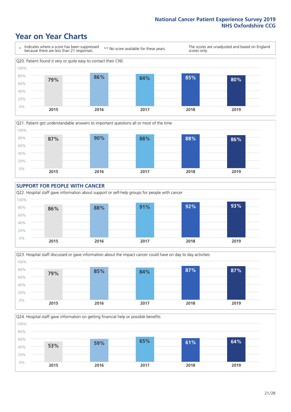### **Year on Year Charts**









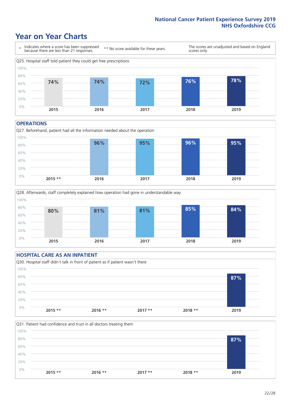### **Year on Year Charts**



#### **OPERATIONS**





### **HOSPITAL CARE AS AN INPATIENT** Q30. Hospital staff didn't talk in front of patient as if patient wasn't there 0% 20% 40% 60% 80% 100% **2015 \*\* 2016 \*\* 2017 \*\* 2018 \*\* 2019 87%**

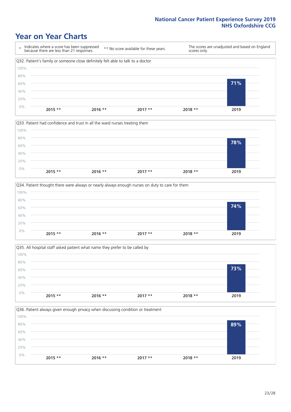### **Year on Year Charts**









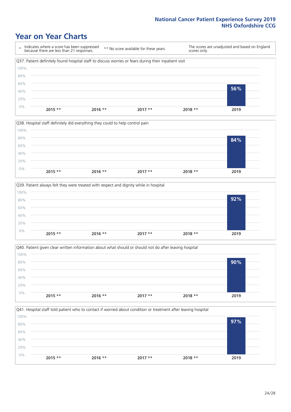### **Year on Year Charts**

\* Indicates where a score has been suppressed because there are less than 21 responses. \*\* No score available for these years. The scores are unadjusted and based on England scores only. Q37. Patient definitely found hospital staff to discuss worries or fears during their inpatient visit 0% 20% 40% 60% 80% 100% **2015 \*\* 2016 \*\* 2017 \*\* 2018 \*\* 2019 56%**







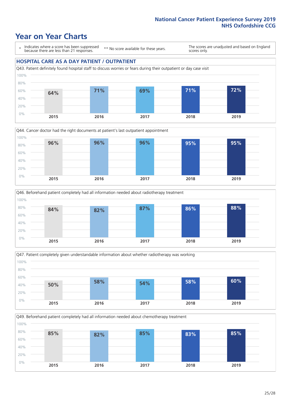### **Year on Year Charts**

\* Indicates where a score has been suppressed because there are less than 21 responses.

\*\* No score available for these years.

The scores are unadjusted and based on England scores only.

#### **HOSPITAL CARE AS A DAY PATIENT / OUTPATIENT**









Q49. Beforehand patient completely had all information needed about chemotherapy treatment

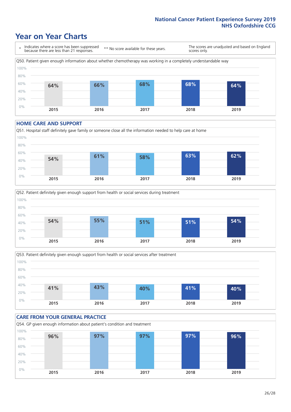### **Year on Year Charts**

\* Indicates where a score has been suppressed because there are less than 21 responses. \*\* No score available for these years. The scores are unadjusted and based on England scores only. Q50. Patient given enough information about whether chemotherapy was working in a completely understandable way 0% 20% 40% 60% 80% 100% **2015 2016 2017 2018 2019 64% 66% 68% 68% 64%**

#### **HOME CARE AND SUPPORT**







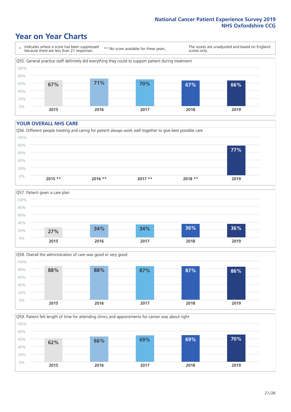### **Year on Year Charts**

\* Indicates where a score has been suppressed because there are less than 21 responses.

\*\* No score available for these years.

The scores are unadjusted and based on England scores only.



#### **YOUR OVERALL NHS CARE**







Q59. Patient felt length of time for attending clinics and appointments for cancer was about right